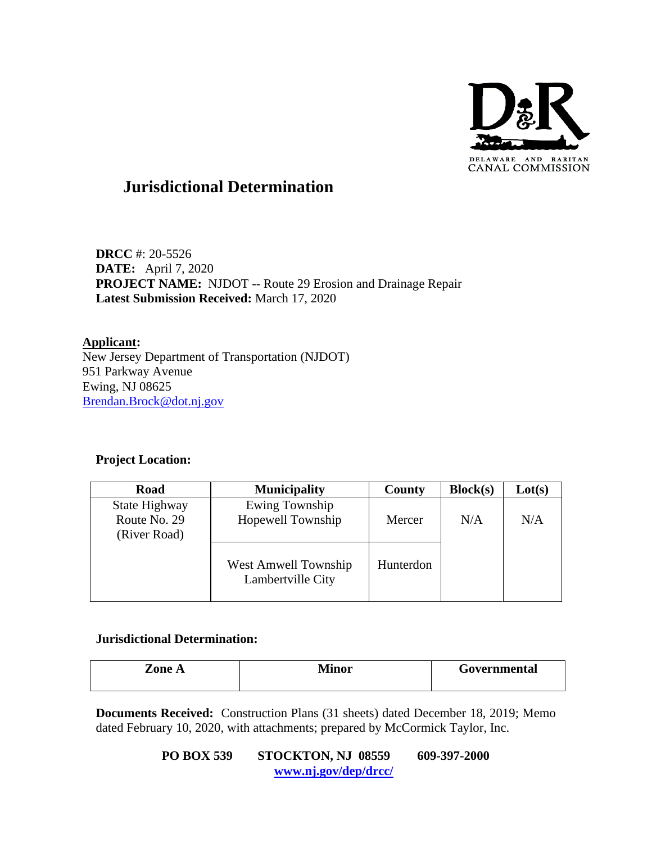

# **Jurisdictional Determination**

**DRCC** #: 20-5526 **DATE:** April 7, 2020 **PROJECT NAME:** NJDOT -- Route 29 Erosion and Drainage Repair **Latest Submission Received:** March 17, 2020

## **Applicant:**

New Jersey Department of Transportation (NJDOT) 951 Parkway Avenue Ewing, NJ 08625 [Brendan.Brock@dot.nj.gov](mailto:Brendan.Brock@dot.nj.gov)

### **Project Location:**

| Road                                          | <b>Municipality</b>                              | County    | Block(s) | Lot(s) |
|-----------------------------------------------|--------------------------------------------------|-----------|----------|--------|
| State Highway<br>Route No. 29<br>(River Road) | Ewing Township<br>Hopewell Township              | Mercer    | N/A      | N/A    |
|                                               | <b>West Amwell Township</b><br>Lambertville City | Hunterdon |          |        |

#### **Jurisdictional Determination:**

| Zone A | .<br>lınor | Governmental |
|--------|------------|--------------|
|        |            |              |

**Documents Received:** Construction Plans (31 sheets) dated December 18, 2019; Memo dated February 10, 2020, with attachments; prepared by McCormick Taylor, Inc.

| <b>PO BOX 539</b> | STOCKTON, NJ 08559   | 609-397-2000 |
|-------------------|----------------------|--------------|
|                   | www.nj.gov/dep/drcc/ |              |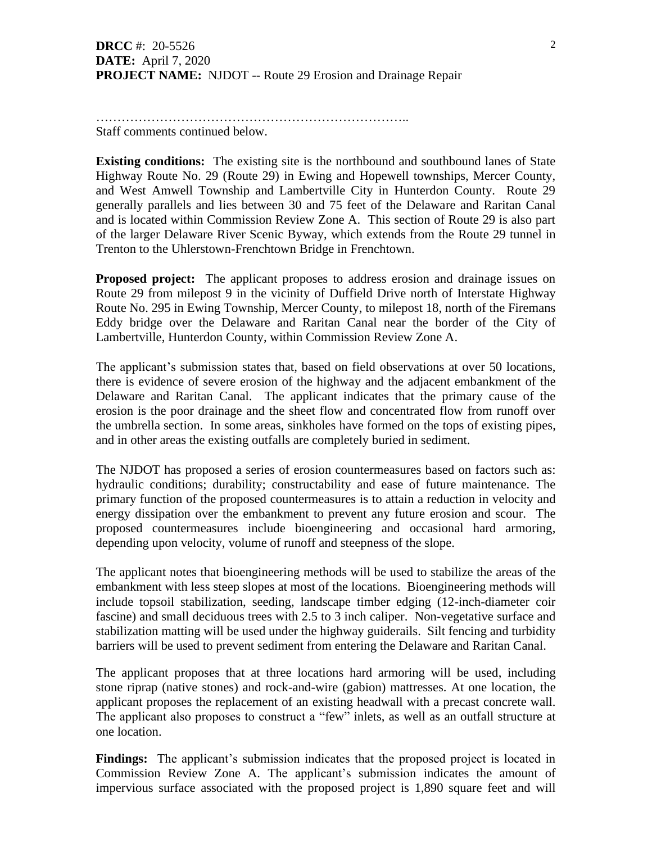……………………………………………………………….. Staff comments continued below.

**Existing conditions:** The existing site is the northbound and southbound lanes of State Highway Route No. 29 (Route 29) in Ewing and Hopewell townships, Mercer County, and West Amwell Township and Lambertville City in Hunterdon County. Route 29 generally parallels and lies between 30 and 75 feet of the Delaware and Raritan Canal and is located within Commission Review Zone A. This section of Route 29 is also part of the larger Delaware River Scenic Byway, which extends from the Route 29 tunnel in Trenton to the Uhlerstown-Frenchtown Bridge in Frenchtown.

**Proposed project:** The applicant proposes to address erosion and drainage issues on Route 29 from milepost 9 in the vicinity of Duffield Drive north of Interstate Highway Route No. 295 in Ewing Township, Mercer County, to milepost 18, north of the Firemans Eddy bridge over the Delaware and Raritan Canal near the border of the City of Lambertville, Hunterdon County, within Commission Review Zone A.

The applicant's submission states that, based on field observations at over 50 locations, there is evidence of severe erosion of the highway and the adjacent embankment of the Delaware and Raritan Canal. The applicant indicates that the primary cause of the erosion is the poor drainage and the sheet flow and concentrated flow from runoff over the umbrella section. In some areas, sinkholes have formed on the tops of existing pipes, and in other areas the existing outfalls are completely buried in sediment.

The NJDOT has proposed a series of erosion countermeasures based on factors such as: hydraulic conditions; durability; constructability and ease of future maintenance. The primary function of the proposed countermeasures is to attain a reduction in velocity and energy dissipation over the embankment to prevent any future erosion and scour. The proposed countermeasures include bioengineering and occasional hard armoring, depending upon velocity, volume of runoff and steepness of the slope.

The applicant notes that bioengineering methods will be used to stabilize the areas of the embankment with less steep slopes at most of the locations. Bioengineering methods will include topsoil stabilization, seeding, landscape timber edging (12-inch-diameter coir fascine) and small deciduous trees with 2.5 to 3 inch caliper. Non-vegetative surface and stabilization matting will be used under the highway guiderails. Silt fencing and turbidity barriers will be used to prevent sediment from entering the Delaware and Raritan Canal.

The applicant proposes that at three locations hard armoring will be used, including stone riprap (native stones) and rock-and-wire (gabion) mattresses. At one location, the applicant proposes the replacement of an existing headwall with a precast concrete wall. The applicant also proposes to construct a "few" inlets, as well as an outfall structure at one location.

**Findings:** The applicant's submission indicates that the proposed project is located in Commission Review Zone A. The applicant's submission indicates the amount of impervious surface associated with the proposed project is 1,890 square feet and will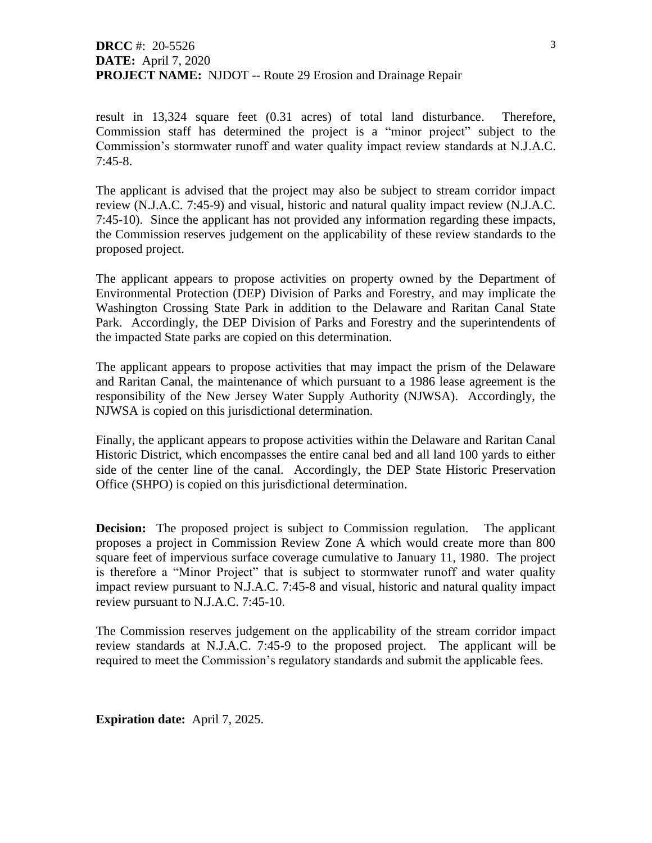#### **DRCC** #: 20-5526 **DATE:** April 7, 2020 **PROJECT NAME:** NJDOT -- Route 29 Erosion and Drainage Repair

result in 13,324 square feet (0.31 acres) of total land disturbance. Therefore, Commission staff has determined the project is a "minor project" subject to the Commission's stormwater runoff and water quality impact review standards at N.J.A.C. 7:45-8.

The applicant is advised that the project may also be subject to stream corridor impact review (N.J.A.C. 7:45-9) and visual, historic and natural quality impact review (N.J.A.C. 7:45-10). Since the applicant has not provided any information regarding these impacts, the Commission reserves judgement on the applicability of these review standards to the proposed project.

The applicant appears to propose activities on property owned by the Department of Environmental Protection (DEP) Division of Parks and Forestry, and may implicate the Washington Crossing State Park in addition to the Delaware and Raritan Canal State Park. Accordingly, the DEP Division of Parks and Forestry and the superintendents of the impacted State parks are copied on this determination.

The applicant appears to propose activities that may impact the prism of the Delaware and Raritan Canal, the maintenance of which pursuant to a 1986 lease agreement is the responsibility of the New Jersey Water Supply Authority (NJWSA). Accordingly, the NJWSA is copied on this jurisdictional determination.

Finally, the applicant appears to propose activities within the Delaware and Raritan Canal Historic District, which encompasses the entire canal bed and all land 100 yards to either side of the center line of the canal. Accordingly, the DEP State Historic Preservation Office (SHPO) is copied on this jurisdictional determination.

**Decision:** The proposed project is subject to Commission regulation. The applicant proposes a project in Commission Review Zone A which would create more than 800 square feet of impervious surface coverage cumulative to January 11, 1980. The project is therefore a "Minor Project" that is subject to stormwater runoff and water quality impact review pursuant to N.J.A.C. 7:45-8 and visual, historic and natural quality impact review pursuant to N.J.A.C. 7:45-10.

The Commission reserves judgement on the applicability of the stream corridor impact review standards at N.J.A.C. 7:45-9 to the proposed project. The applicant will be required to meet the Commission's regulatory standards and submit the applicable fees.

**Expiration date:** April 7, 2025.